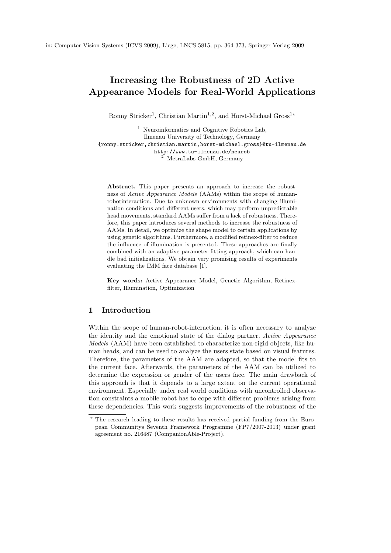# Increasing the Robustness of 2D Active Appearance Models for Real-World Applications

Ronny Stricker<sup>1</sup>, Christian Martin<sup>1,2</sup>, and Horst-Michael Gross<sup>1\*</sup>

<sup>1</sup> Neuroinformatics and Cognitive Robotics Lab, Ilmenau University of Technology, Germany {ronny.stricker,christian.martin,horst-michael.gross}@tu-ilmenau.de http://www.tu-ilmenau.de/neurob <sup>2</sup> MetraLabs GmbH, Germany

Abstract. This paper presents an approach to increase the robustness of Active Appearance Models (AAMs) within the scope of humanrobotinteraction. Due to unknown environments with changing illumination conditions and different users, which may perform unpredictable head movements, standard AAMs suffer from a lack of robustness. Therefore, this paper introduces several methods to increase the robustness of AAMs. In detail, we optimize the shape model to certain applications by using genetic algorithms. Furthermore, a modified retinex-filter to reduce the influence of illumination is presented. These approaches are finally combined with an adaptive parameter fitting approach, which can handle bad initializations. We obtain very promising results of experiments evaluating the IMM face database [1].

Key words: Active Appearance Model, Genetic Algorithm, Retinexfilter, Illumination, Optimization

# 1 Introduction

Within the scope of human-robot-interaction, it is often necessary to analyze the identity and the emotional state of the dialog partner. Active Appearance Models (AAM) have been established to characterize non-rigid objects, like human heads, and can be used to analyze the users state based on visual features. Therefore, the parameters of the AAM are adapted, so that the model fits to the current face. Afterwards, the parameters of the AAM can be utilized to determine the expression or gender of the users face. The main drawback of this approach is that it depends to a large extent on the current operational environment. Especially under real world conditions with uncontrolled observation constraints a mobile robot has to cope with different problems arising from these dependencies. This work suggests improvements of the robustness of the

<sup>⋆</sup> The research leading to these results has received partial funding from the European Communitys Seventh Framework Programme (FP7/2007-2013) under grant agreement no. 216487 (CompanionAble-Project).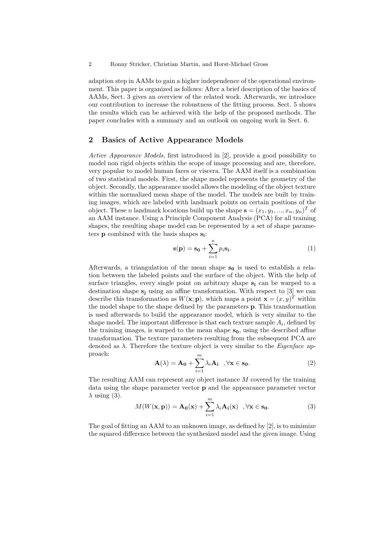2 Ronny Stricker, Christian Martin, and Horst-Michael Gross

adaption step in AAMs to gain a higher independence of the operational environment. This paper is organized as follows: After a brief description of the basics of AAMs, Sect. 3 gives an overview of the related work. Afterwards, we introduce our contribution to increase the robustness of the fitting process. Sect. 5 shows the results which can be achieved with the help of the proposed methods. The paper concludes with a summary and an outlook on ongoing work in Sect. 6.

## 2 Basics of Active Appearance Models

Active Appearance Models, first introduced in [2], provide a good possibility to model non rigid objects within the scope of image processing and are, therefore, very popular to model human faces or viscera. The AAM itself is a combination of two statistical models. First, the shape model represents the geometry of the object. Secondly, the appearance model allows the modeling of the object texture within the normalized mean shape of the model. The models are built by training images, which are labeled with landmark points on certain positions of the object. These *n* landmark locations build up the shape  $\mathbf{s} = (x_1, y_1, ..., x_n, y_n)^T$  of an AAM instance. Using a Principle Component Analysis (PCA) for all training shapes, the resulting shape model can be represented by a set of shape parameters  $\bf{p}$  combined with the basis shapes  $\bf{s}_i$ :

$$
\mathbf{s}(\mathbf{p}) = \mathbf{s_0} + \sum_{i=1}^{n} p_i \mathbf{s_i}.\tag{1}
$$

Afterwards, a triangulation of the mean shape  $s_0$  is used to establish a relation between the labeled points and the surface of the object. With the help of surface triangles, every single point on arbitrary shape  $s_i$  can be warped to a destination shape  $s_i$  using an affine transformation. With respect to [3] we can describe this transformation as  $W(\mathbf{x}; \mathbf{p})$ , which maps a point  $\mathbf{x} = (x, y)^T$  within the model shape to the shape defined by the parameters p. This transformation is used afterwards to build the appearance model, which is very similar to the shape model. The important difference is that each texture sample  $A_i$ , defined by the training images, is warped to the mean shape  $s_0$ , using the described affine transformation. The texture parameters resulting from the subsequent PCA are denoted as  $\lambda$ . Therefore the texture object is very similar to the *Eigenface* approach:

$$
\mathbf{A}(\lambda) = \mathbf{A_0} + \sum_{i=1}^{m} \lambda_i \mathbf{A_i} \quad, \forall \mathbf{x} \in \mathbf{s_0}.
$$
 (2)

The resulting AAM can represent any object instance M covered by the training data using the shape parameter vector p and the appearance parameter vector  $\lambda$  using (3).

$$
M(W(\mathbf{x}, \mathbf{p})) = \mathbf{A_0}(\mathbf{x}) + \sum_{i=1}^{m} \lambda_i \mathbf{A_i}(\mathbf{x}) \quad , \forall \mathbf{x} \in \mathbf{s_0}.
$$
 (3)

The goal of fitting an AAM to an unknown image, as defined by [2], is to minimize the squared difference between the synthesized model and the given image. Using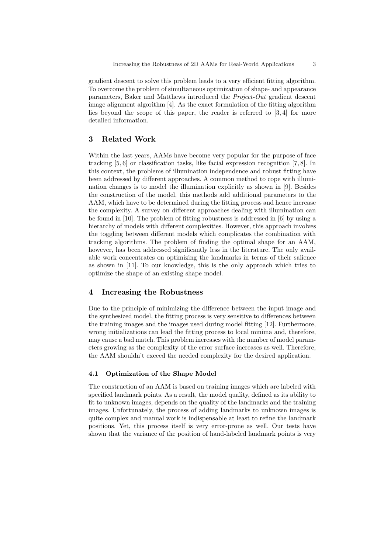gradient descent to solve this problem leads to a very efficient fitting algorithm. To overcome the problem of simultaneous optimization of shape- and appearance parameters, Baker and Matthews introduced the Project-Out gradient descent image alignment algorithm [4]. As the exact formulation of the fitting algorithm lies beyond the scope of this paper, the reader is referred to [3, 4] for more detailed information.

## 3 Related Work

Within the last years, AAMs have become very popular for the purpose of face tracking [5, 6] or classification tasks, like facial expression recognition [7, 8]. In this context, the problems of illumination independence and robust fitting have been addressed by different approaches. A common method to cope with illumination changes is to model the illumination explicitly as shown in [9]. Besides the construction of the model, this methods add additional parameters to the AAM, which have to be determined during the fitting process and hence increase the complexity. A survey on different approaches dealing with illumination can be found in [10]. The problem of fitting robustness is addressed in [6] by using a hierarchy of models with different complexities. However, this approach involves the toggling between different models which complicates the combination with tracking algorithms. The problem of finding the optimal shape for an AAM, however, has been addressed significantly less in the literature. The only available work concentrates on optimizing the landmarks in terms of their salience as shown in [11]. To our knowledge, this is the only approach which tries to optimize the shape of an existing shape model.

## 4 Increasing the Robustness

Due to the principle of minimizing the difference between the input image and the synthesized model, the fitting process is very sensitive to differences between the training images and the images used during model fitting [12]. Furthermore, wrong initializations can lead the fitting process to local minima and, therefore, may cause a bad match. This problem increases with the number of model parameters growing as the complexity of the error surface increases as well. Therefore, the AAM shouldn't exceed the needed complexity for the desired application.

#### 4.1 Optimization of the Shape Model

The construction of an AAM is based on training images which are labeled with specified landmark points. As a result, the model quality, defined as its ability to fit to unknown images, depends on the quality of the landmarks and the training images. Unfortunately, the process of adding landmarks to unknown images is quite complex and manual work is indispensable at least to refine the landmark positions. Yet, this process itself is very error-prone as well. Our tests have shown that the variance of the position of hand-labeled landmark points is very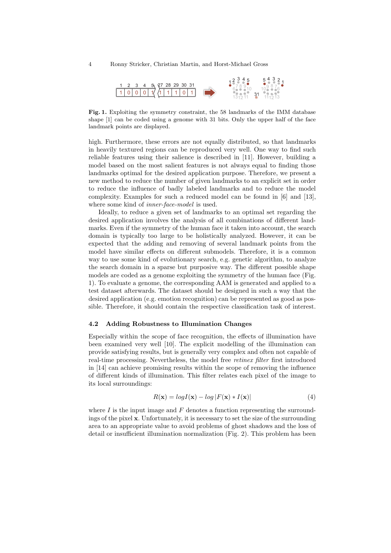4 Ronny Stricker, Christian Martin, and Horst-Michael Gross



Fig. 1. Exploiting the symmetry constraint, the 58 landmarks of the IMM database shape [1] can be coded using a genome with 31 bits. Only the upper half of the face landmark points are displayed.

high. Furthermore, these errors are not equally distributed, so that landmarks in heavily textured regions can be reproduced very well. One way to find such reliable features using their salience is described in [11]. However, building a model based on the most salient features is not always equal to finding those landmarks optimal for the desired application purpose. Therefore, we present a new method to reduce the number of given landmarks to an explicit set in order to reduce the influence of badly labeled landmarks and to reduce the model complexity. Examples for such a reduced model can be found in [6] and [13], where some kind of *inner-face-model* is used.

Ideally, to reduce a given set of landmarks to an optimal set regarding the desired application involves the analysis of all combinations of different landmarks. Even if the symmetry of the human face it taken into account, the search domain is typically too large to be holistically analyzed. However, it can be expected that the adding and removing of several landmark points from the model have similar effects on different submodels. Therefore, it is a common way to use some kind of evolutionary search, e.g. genetic algorithm, to analyze the search domain in a sparse but purposive way. The different possible shape models are coded as a genome exploiting the symmetry of the human face (Fig. 1). To evaluate a genome, the corresponding AAM is generated and applied to a test dataset afterwards. The dataset should be designed in such a way that the desired application (e.g. emotion recognition) can be represented as good as possible. Therefore, it should contain the respective classification task of interest.

#### 4.2 Adding Robustness to Illumination Changes

Especially within the scope of face recognition, the effects of illumination have been examined very well [10]. The explicit modelling of the illumination can provide satisfying results, but is generally very complex and often not capable of real-time processing. Nevertheless, the model free retinex filter first introduced in [14] can achieve promising results within the scope of removing the influence of different kinds of illumination. This filter relates each pixel of the image to its local surroundings:

$$
R(\mathbf{x}) = \log I(\mathbf{x}) - \log |F(\mathbf{x}) * I(\mathbf{x})|
$$
\n(4)

where  $I$  is the input image and  $F$  denotes a function representing the surroundings of the pixel x. Unfortunately, it is necessary to set the size of the surrounding area to an appropriate value to avoid problems of ghost shadows and the loss of detail or insufficient illumination normalization (Fig. 2). This problem has been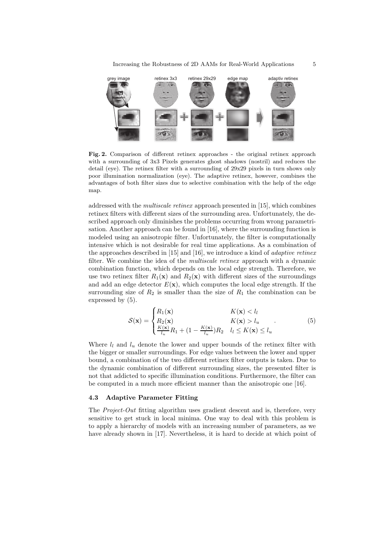

Fig. 2. Comparison of different retinex approaches - the original retinex approach with a surrounding of 3x3 Pixels generates ghost shadows (nostril) and reduces the detail (eye). The retinex filter with a surrounding of 29x29 pixels in turn shows only poor illumination normalization (eye). The adaptive retinex, however, combines the advantages of both filter sizes due to selective combination with the help of the edge map.

addressed with the multiscale retinex approach presented in [15], which combines retinex filters with different sizes of the surrounding area. Unfortunately, the described approach only diminishes the problems occurring from wrong parametrisation. Another approach can be found in [16], where the surrounding function is modeled using an anisotropic filter. Unfortunately, the filter is computationally intensive which is not desirable for real time applications. As a combination of the approaches described in [15] and [16], we introduce a kind of adaptive retinex filter. We combine the idea of the *multiscale retinex* approach with a dynamic combination function, which depends on the local edge strength. Therefore, we use two retinex filter  $R_1(\mathbf{x})$  and  $R_2(\mathbf{x})$  with different sizes of the surroundings and add an edge detector  $E(\mathbf{x})$ , which computes the local edge strength. If the surrounding size of  $R_2$  is smaller than the size of  $R_1$  the combination can be expressed by (5).

$$
S(\mathbf{x}) = \begin{cases} R_1(\mathbf{x}) & K(\mathbf{x}) < l_l \\ R_2(\mathbf{x}) & K(\mathbf{x}) > l_u \\ \frac{K(\mathbf{x})}{l_u} R_1 + (1 - \frac{K(\mathbf{x})}{l_u}) R_2 & l_l \le K(\mathbf{x}) \le l_u \end{cases}
$$
(5)

Where  $l_l$  and  $l_u$  denote the lower and upper bounds of the retinex filter with the bigger or smaller surroundings. For edge values between the lower and upper bound, a combination of the two different retinex filter outputs is taken. Due to the dynamic combination of different surrounding sizes, the presented filter is not that addicted to specific illumination conditions. Furthermore, the filter can be computed in a much more efficient manner than the anisotropic one [16].

#### 4.3 Adaptive Parameter Fitting

The Project-Out fitting algorithm uses gradient descent and is, therefore, very sensitive to get stuck in local minima. One way to deal with this problem is to apply a hierarchy of models with an increasing number of parameters, as we have already shown in [17]. Nevertheless, it is hard to decide at which point of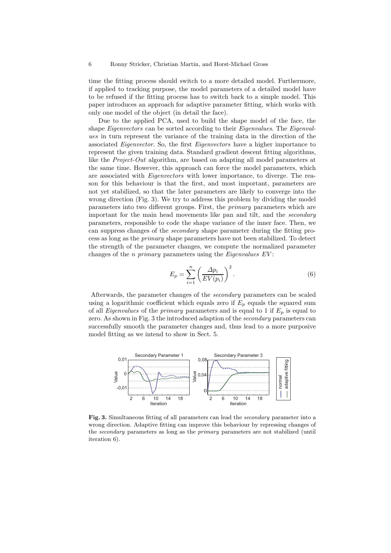time the fitting process should switch to a more detailed model. Furthermore, if applied to tracking purpose, the model parameters of a detailed model have to be refused if the fitting process has to switch back to a simple model. This paper introduces an approach for adaptive parameter fitting, which works with only one model of the object (in detail the face).

Due to the applied PCA, used to build the shape model of the face, the shape Eigenvectors can be sorted according to their Eigenvalues. The Eigenvalues in turn represent the variance of the training data in the direction of the associated Eigenvector. So, the first Eigenvectors have a higher importance to represent the given training data. Standard gradient descent fitting algorithms, like the Project-Out algorithm, are based on adapting all model parameters at the same time. However, this approach can force the model parameters, which are associated with Eigenvectors with lower importance, to diverge. The reason for this behaviour is that the first, and most important, parameters are not yet stabilized, so that the later parameters are likely to converge into the wrong direction (Fig. 3). We try to address this problem by dividing the model parameters into two different groups. First, the primary parameters which are important for the main head movements like pan and tilt, and the secondary parameters, responsible to code the shape variance of the inner face. Then, we can suppress changes of the secondary shape parameter during the fitting process as long as the primary shape parameters have not been stabilized. To detect the strength of the parameter changes, we compute the normalized parameter changes of the *n primary* parameters using the *Eigenvalues EV*:

$$
E_p = \sum_{i=1}^{n} \left(\frac{\Delta p_i}{EV(p_i)}\right)^2.
$$
 (6)

Afterwards, the parameter changes of the secondary parameters can be scaled using a logarithmic coefficient which equals zero if  $E_p$  equals the squared sum of all *Eigenvalues* of the *primary* parameters and is equal to 1 if  $E_p$  is equal to zero. As shown in Fig. 3 the introduced adaption of the *secondary* parameters can successfully smooth the parameter changes and, thus lead to a more purposive model fitting as we intend to show in Sect. 5.



Fig. 3. Simultaneous fitting of all parameters can lead the secondary parameter into a wrong direction. Adaptive fitting can improve this behaviour by repressing changes of the secondary parameters as long as the primary parameters are not stabilized (until iteration 6).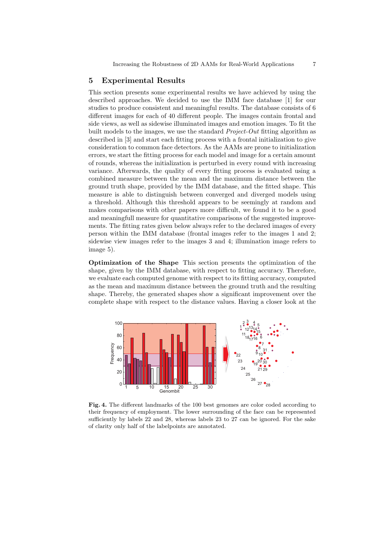### 5 Experimental Results

This section presents some experimental results we have achieved by using the described approaches. We decided to use the IMM face database [1] for our studies to produce consistent and meaningful results. The database consists of 6 different images for each of 40 different people. The images contain frontal and side views, as well as sidewise illuminated images and emotion images. To fit the built models to the images, we use the standard *Project-Out* fitting algorithm as described in [3] and start each fitting process with a frontal initialization to give consideration to common face detectors. As the AAMs are prone to initialization errors, we start the fitting process for each model and image for a certain amount of rounds, whereas the initialization is perturbed in every round with increasing variance. Afterwards, the quality of every fitting process is evaluated using a combined measure between the mean and the maximum distance between the ground truth shape, provided by the IMM database, and the fitted shape. This measure is able to distinguish between converged and diverged models using a threshold. Although this threshold appears to be seemingly at random and makes comparisons with other papers more difficult, we found it to be a good and meaningfull measure for quantitative comparisons of the suggested improvements. The fitting rates given below always refer to the declared images of every person within the IMM database (frontal images refer to the images 1 and 2; sidewise view images refer to the images 3 and 4; illumination image refers to image 5).

Optimization of the Shape This section presents the optimization of the shape, given by the IMM database, with respect to fitting accuracy. Therefore, we evaluate each computed genome with respect to its fitting accuracy, computed as the mean and maximum distance between the ground truth and the resulting shape. Thereby, the generated shapes show a significant improvement over the complete shape with respect to the distance values. Having a closer look at the



Fig. 4. The different landmarks of the 100 best genomes are color coded according to their frequency of employment. The lower surrounding of the face can be represented sufficiently by labels 22 and 28, whereas labels 23 to 27 can be ignored. For the sake of clarity only half of the labelpoints are annotated.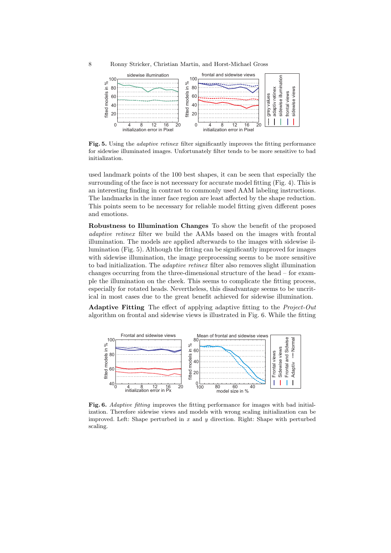8 Ronny Stricker, Christian Martin, and Horst-Michael Gross



Fig. 5. Using the *adaptive retinex* filter significantly improves the fitting performance for sidewise illuminated images. Unfortunately filter tends to be more sensitive to bad initialization.

used landmark points of the 100 best shapes, it can be seen that especially the surrounding of the face is not necessary for accurate model fitting (Fig. 4). This is an interesting finding in contrast to commonly used AAM labeling instructions. The landmarks in the inner face region are least affected by the shape reduction. This points seem to be necessary for reliable model fitting given different poses and emotions.

Robustness to Illumination Changes To show the benefit of the proposed adaptive retinex filter we build the AAMs based on the images with frontal illumination. The models are applied afterwards to the images with sidewise illumination (Fig. 5). Although the fitting can be significantly improved for images with sidewise illumination, the image preprocessing seems to be more sensitive to bad initialization. The adaptive retinex filter also removes slight illumination changes occurring from the three-dimensional structure of the head – for example the illumination on the cheek. This seems to complicate the fitting process, especially for rotated heads. Nevertheless, this disadvantage seems to be uncritical in most cases due to the great benefit achieved for sidewise illumination.

Adaptive Fitting The effect of applying adaptive fitting to the Project-Out algorithm on frontal and sidewise views is illustrated in Fig. 6. While the fitting



Fig. 6. Adaptive fitting improves the fitting performance for images with bad initialization. Therefore sidewise views and models with wrong scaling initialization can be improved. Left: Shape perturbed in  $x$  and  $y$  direction. Right: Shape with perturbed scaling.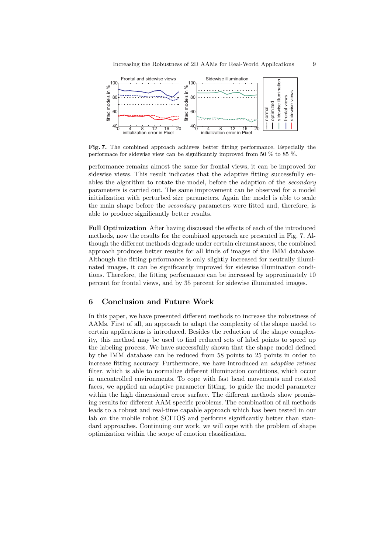

Fig. 7. The combined approach achieves better fitting performance. Especially the performace for sidewise view can be significantly improved from 50 % to 85 %.

performance remains almost the same for frontal views, it can be improved for sidewise views. This result indicates that the adaptive fitting successfully enables the algorithm to rotate the model, before the adaption of the secondary parameters is carried out. The same improvement can be observed for a model initialization with perturbed size parameters. Again the model is able to scale the main shape before the *secondary* parameters were fitted and, therefore, is able to produce significantly better results.

Full Optimization After having discussed the effects of each of the introduced methods, now the results for the combined approach are presented in Fig. 7. Although the different methods degrade under certain circumstances, the combined approach produces better results for all kinds of images of the IMM database. Although the fitting performance is only slightly increased for neutrally illuminated images, it can be significantly improved for sidewise illumination conditions. Therefore, the fitting performance can be increased by approximately 10 percent for frontal views, and by 35 percent for sidewise illuminated images.

## 6 Conclusion and Future Work

In this paper, we have presented different methods to increase the robustness of AAMs. First of all, an approach to adapt the complexity of the shape model to certain applications is introduced. Besides the reduction of the shape complexity, this method may be used to find reduced sets of label points to speed up the labeling process. We have successfully shown that the shape model defined by the IMM database can be reduced from 58 points to 25 points in order to increase fitting accuracy. Furthermore, we have introduced an adaptive retinex filter, which is able to normalize different illumination conditions, which occur in uncontrolled environments. To cope with fast head movements and rotated faces, we applied an adaptive parameter fitting, to guide the model parameter within the high dimensional error surface. The different methods show promising results for different AAM specific problems. The combination of all methods leads to a robust and real-time capable approach which has been tested in our lab on the mobile robot SCITOS and performs significantly better than standard approaches. Continuing our work, we will cope with the problem of shape optimization within the scope of emotion classification.